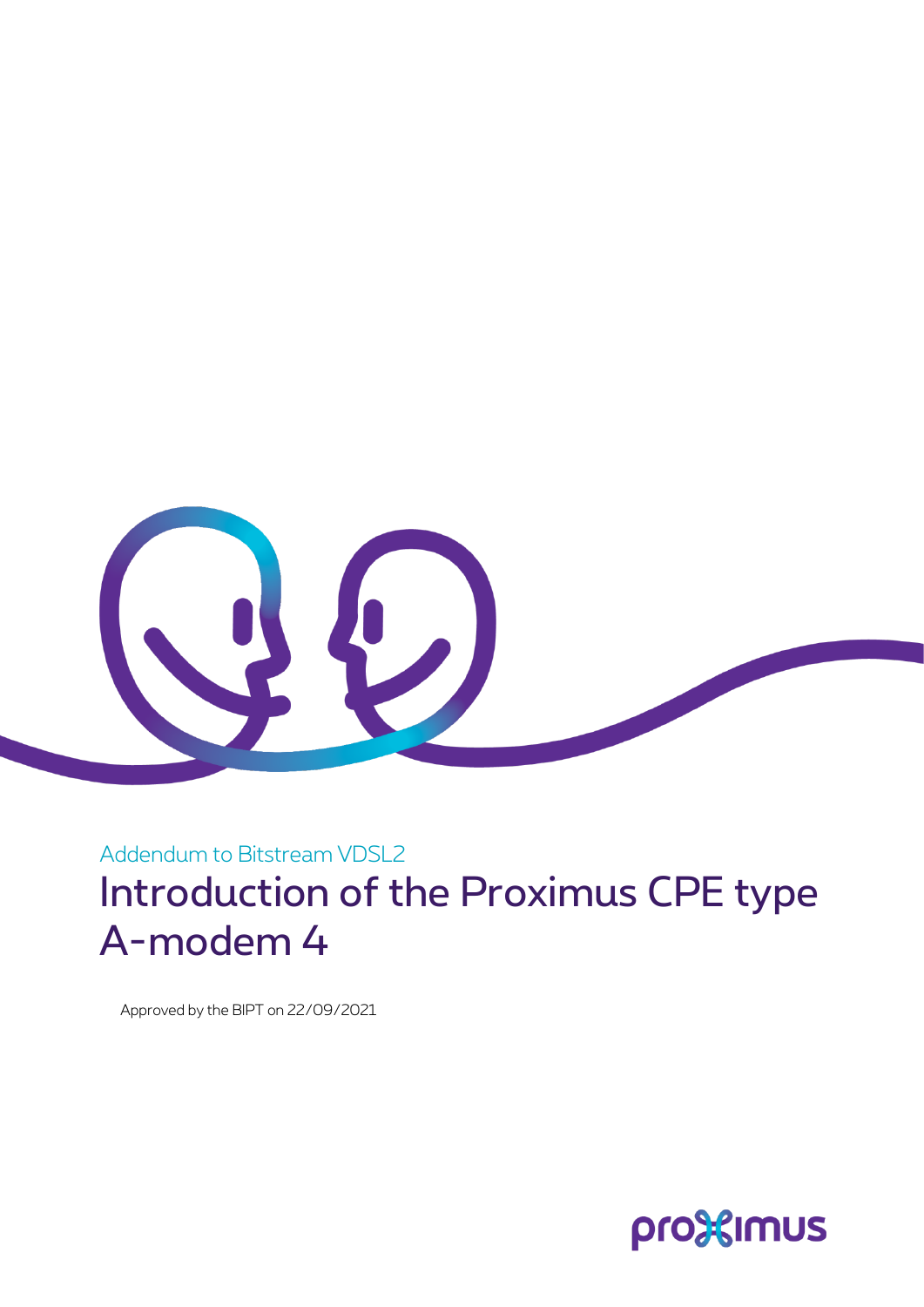

Addendum to Bitstream VDSL2 Introduction of the Proximus CPE type A-modem 4

Approved by the BIPT on 22/09/2021

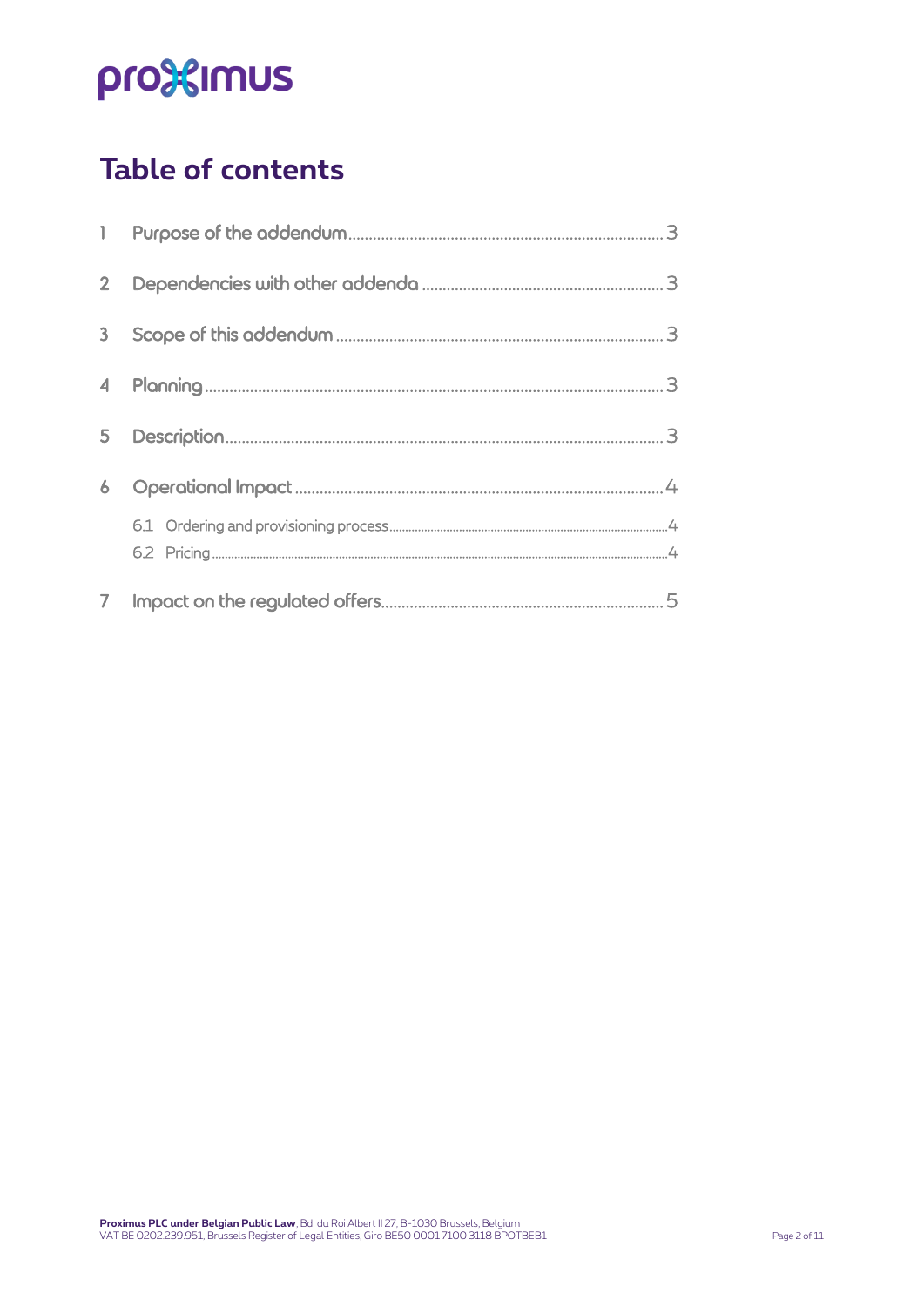## **Table of contents**

| $\overline{2}$ |  |
|----------------|--|
| 3              |  |
| 4              |  |
| 5              |  |
| 6              |  |
|                |  |
|                |  |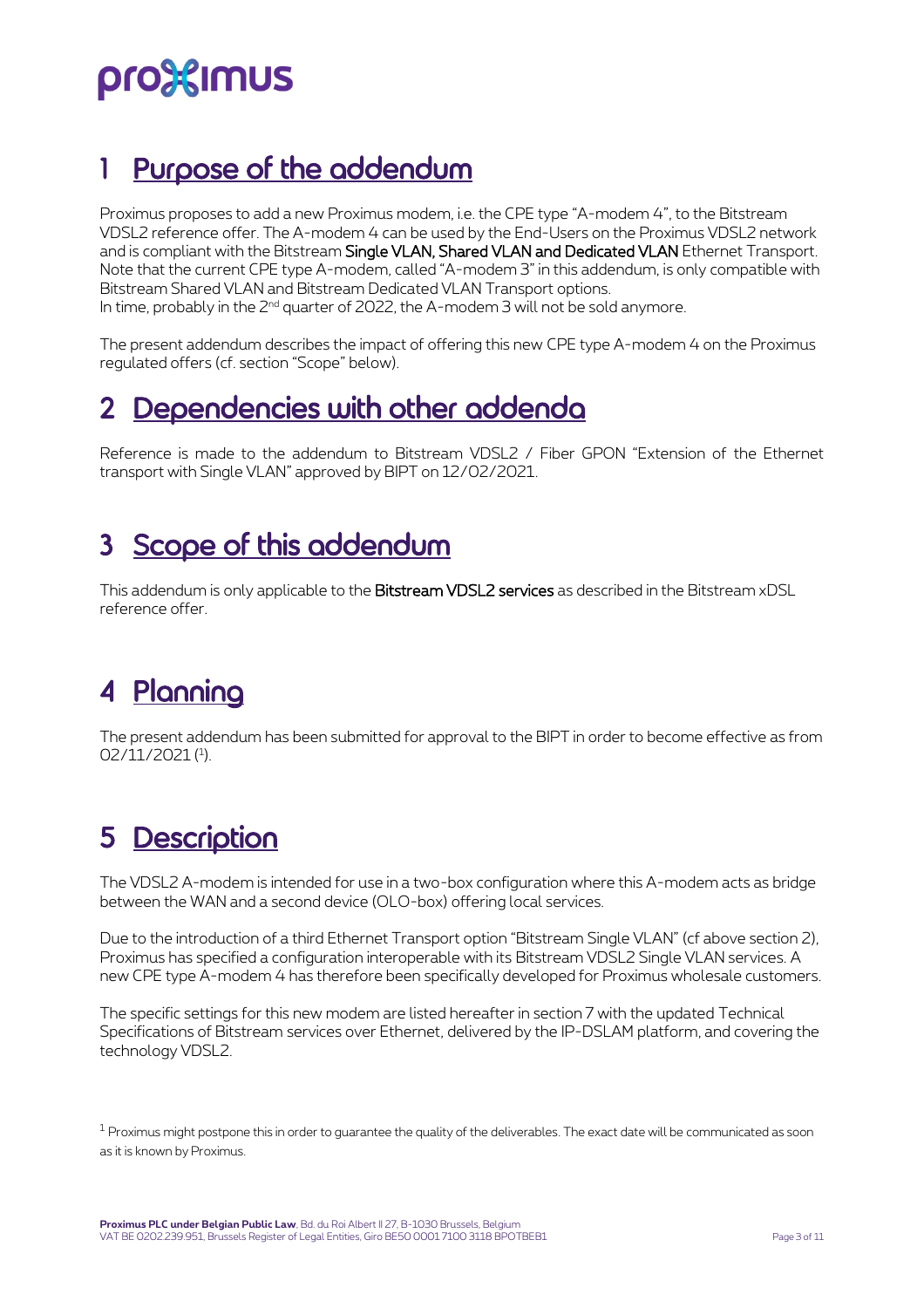## <span id="page-2-0"></span>Purpose of the addendum

Proximus proposes to add a new Proximus modem, i.e. the CPE type "A-modem 4", to the Bitstream VDSL2 reference offer. The A-modem 4 can be used by the End-Users on the Proximus VDSL2 network and is compliant with the Bitstream Single VLAN, Shared VLAN and Dedicated VLAN Ethernet Transport. Note that the current CPE type A-modem, called "A-modem 3" in this addendum, is only compatible with Bitstream Shared VLAN and Bitstream Dedicated VLAN Transport options. In time, probably in the  $2<sup>nd</sup>$  quarter of 2022, the A-modem 3 will not be sold anymore.

The present addendum describes the impact of offering this new CPE type A-modem 4 on the Proximus regulated offers (cf. section "Scope" below).

### <span id="page-2-1"></span>2 Dependencies with other addenda

Reference is made to the addendum to Bitstream VDSL2 / Fiber GPON "Extension of the Ethernet transport with Single VLAN" approved by BIPT on 12/02/2021.

### <span id="page-2-2"></span>3 Scope of this addendum

This addendum is only applicable to the Bitstream VDSL2 services as described in the Bitstream xDSL reference offer.

## <span id="page-2-3"></span>4 Planning

The present addendum has been submitted for approval to the BIPT in order to become effective as from 02/11/2021 (<sup>1</sup> ).

## <span id="page-2-4"></span>5 Description

The VDSL2 A-modem is intended for use in a two-box configuration where this A-modem acts as bridge between the WAN and a second device (OLO-box) offering local services.

Due to the introduction of a third Ethernet Transport option "Bitstream Single VLAN" (cf above section 2), Proximus has specified a configuration interoperable with its Bitstream VDSL2 Single VLAN services. A new CPE type A-modem 4 has therefore been specifically developed for Proximus wholesale customers.

The specific settings for this new modem are listed hereafter in section 7 with the updated Technical Specifications of Bitstream services over Ethernet, delivered by the IP-DSLAM platform, and covering the technology VDSL2.

 $1$  Proximus might postpone this in order to guarantee the quality of the deliverables. The exact date will be communicated as soon as it is known by Proximus.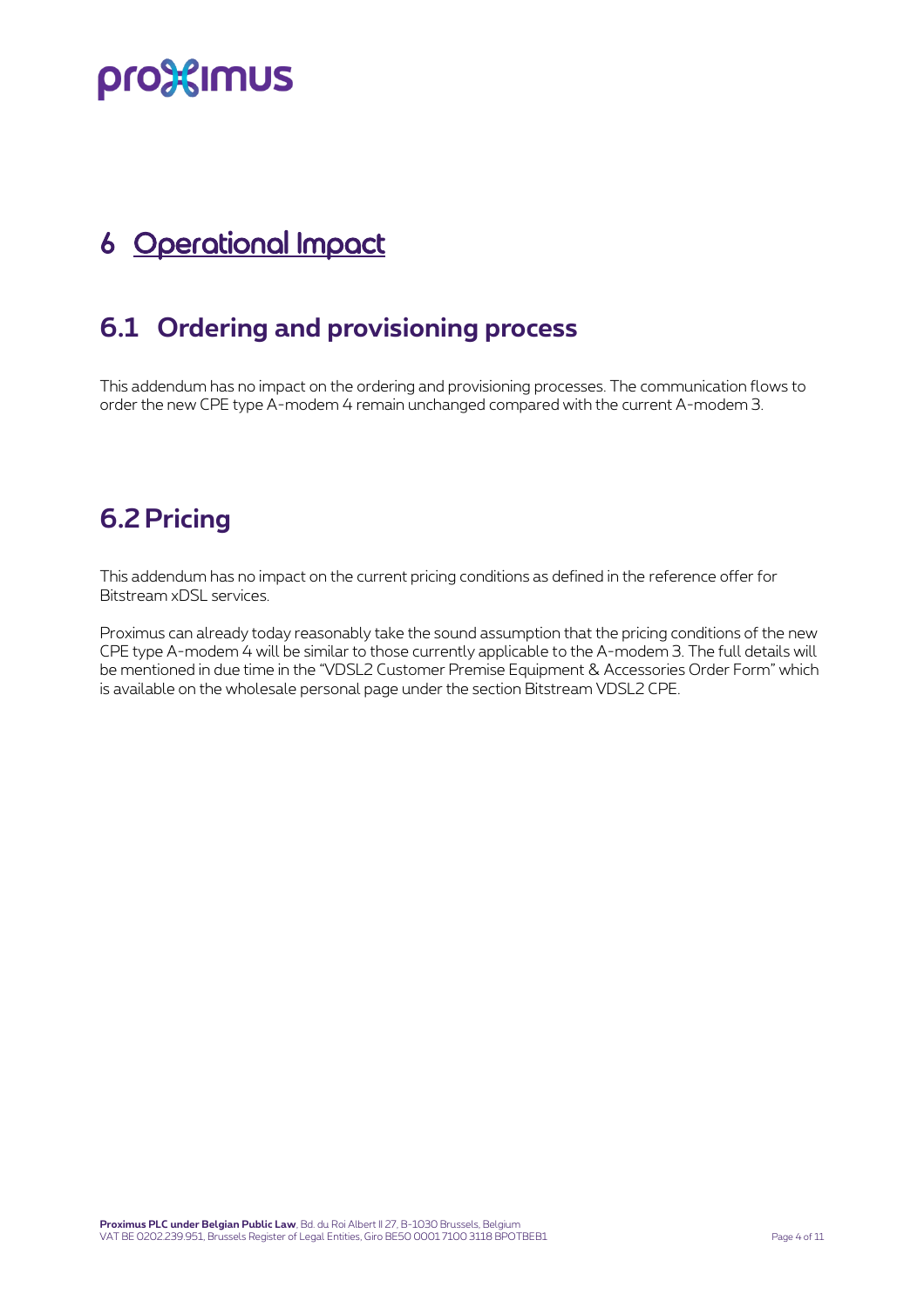## <span id="page-3-0"></span>6 Operational Impact

### <span id="page-3-1"></span>**6.1 Ordering and provisioning process**

This addendum has no impact on the ordering and provisioning processes. The communication flows to order the new CPE type A-modem 4 remain unchanged compared with the current A-modem 3.

### <span id="page-3-2"></span>**6.2 Pricing**

This addendum has no impact on the current pricing conditions as defined in the reference offer for Bitstream xDSL services.

Proximus can already today reasonably take the sound assumption that the pricing conditions of the new CPE type A-modem 4 will be similar to those currently applicable to the A-modem 3. The full details will be mentioned in due time in the "VDSL2 Customer Premise Equipment & Accessories Order Form" which is available on the wholesale personal page under the section Bitstream VDSL2 CPE.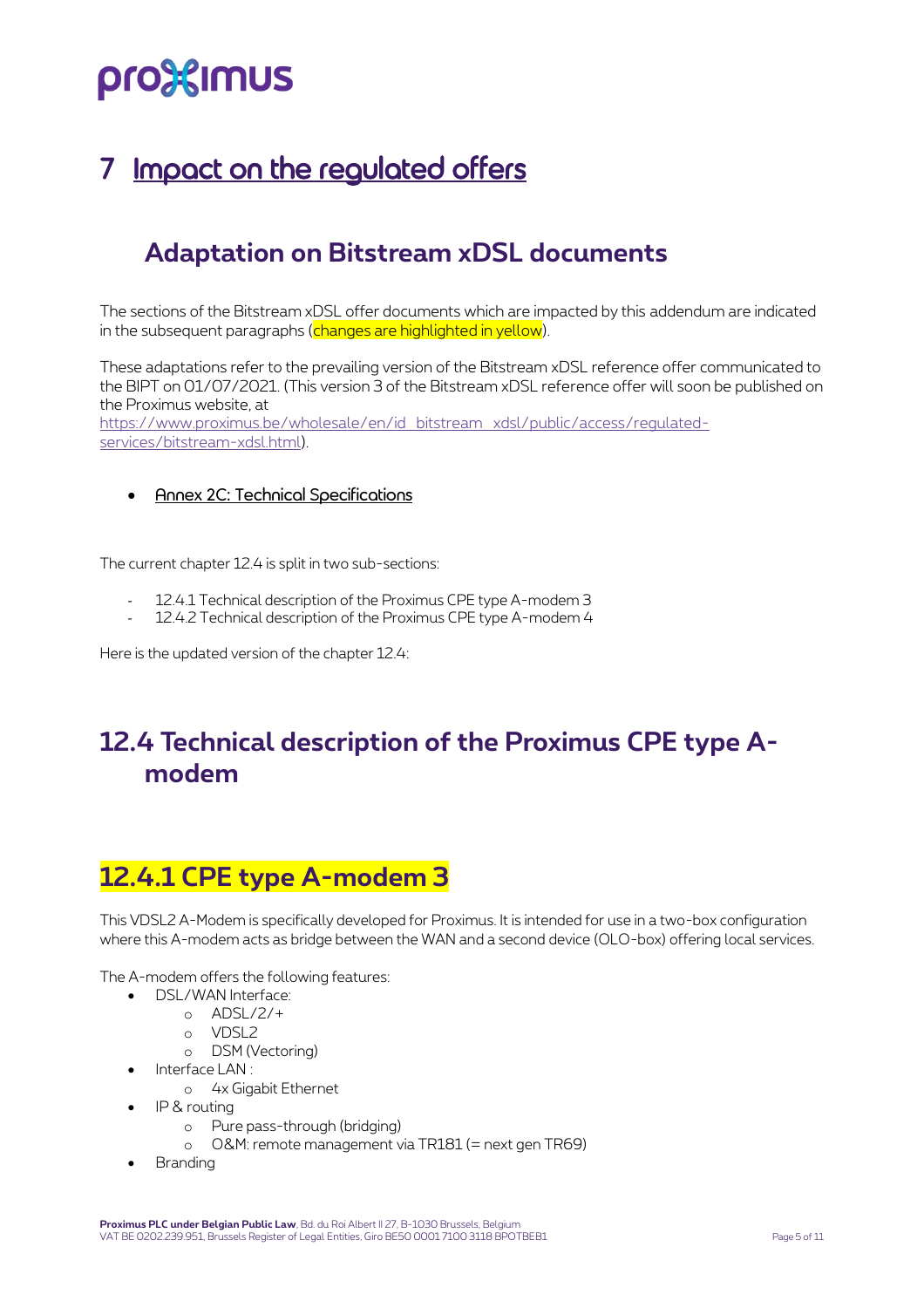## <span id="page-4-0"></span>Impact on the regulated offers

### **Adaptation on Bitstream xDSL documents**

The sections of the Bitstream xDSL offer documents which are impacted by this addendum are indicated in the subsequent paragraphs (changes are highlighted in yellow).

These adaptations refer to the prevailing version of the Bitstream xDSL reference offer communicated to the BIPT on 01/07/2021. (This version 3 of the Bitstream xDSL reference offer will soon be published on the Proximus website, at [https://www.proximus.be/wholesale/en/id\\_bitstream\\_xdsl/public/access/regulated](https://www.proximus.be/wholesale/en/id_bitstream_xdsl/public/access/regulated-services/bitstream-xdsl.html)[services/bitstream-xdsl.html\)](https://www.proximus.be/wholesale/en/id_bitstream_xdsl/public/access/regulated-services/bitstream-xdsl.html).

#### • Annex 2C: Technical Specifications

The current chapter 12.4 is split in two sub-sections:

- 12.4.1 Technical description of the Proximus CPE type A-modem 3
- 12.4.2 Technical description of the Proximus CPE type A-modem 4

Here is the updated version of the chapter 12.4:

### **12.4 Technical description of the Proximus CPE type Amodem**

### **12.4.1 CPE type A-modem 3**

This VDSL2 A-Modem is specifically developed for Proximus. It is intended for use in a two-box configuration where this A-modem acts as bridge between the WAN and a second device (OLO-box) offering local services.

The A-modem offers the following features:

- DSL/WAN Interface:
	- o ADSL/2/+
	- o VDSL2
		- o DSM (Vectoring)
	- Interface LAN :
		- o 4x Gigabit Ethernet
- IP & routing
	- o Pure pass-through (bridging)
	- o O&M: remote management via TR181 (= next gen TR69)
- **Branding**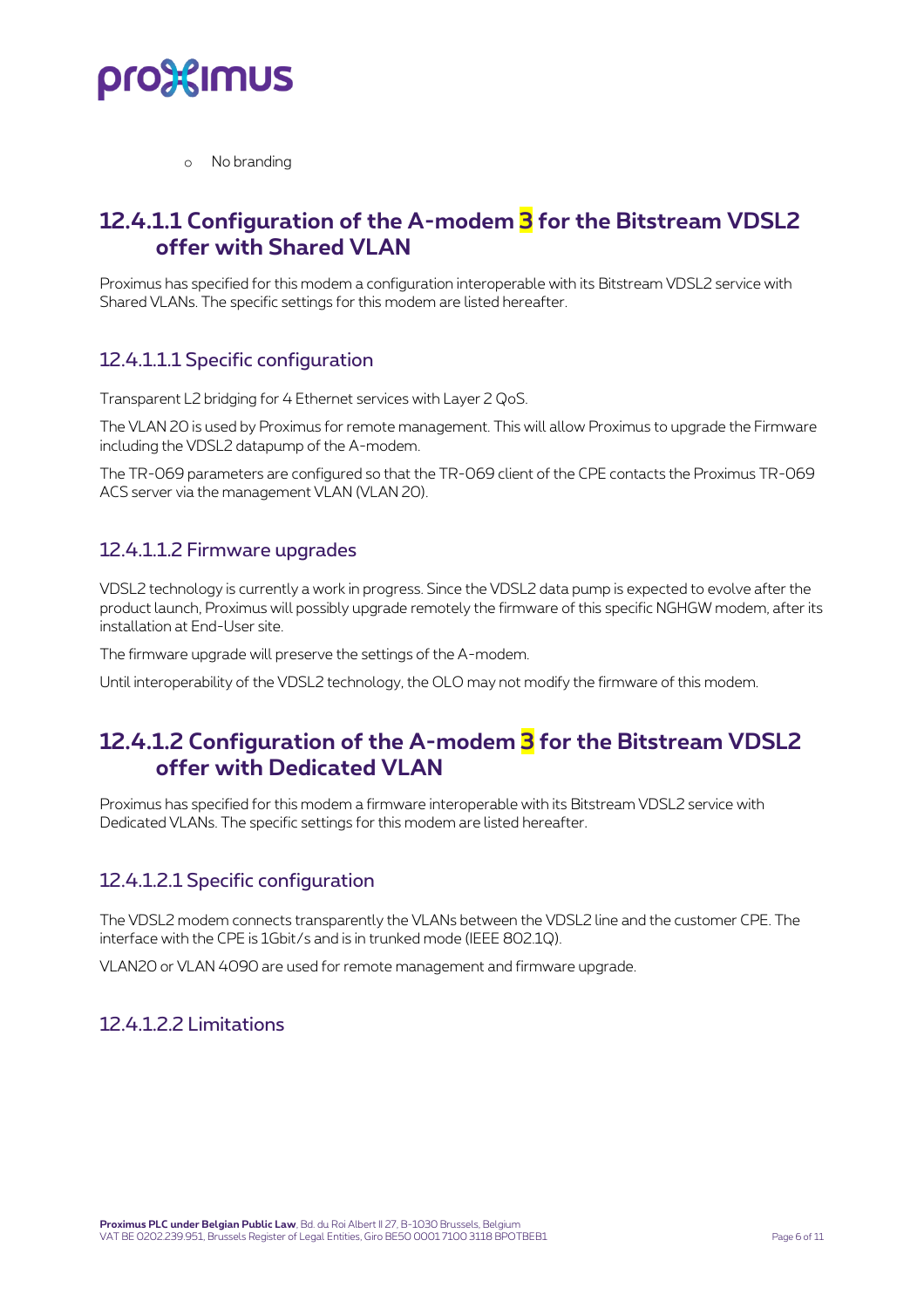

o No branding

### **12.4.1.1 Configuration of the A-modem 3 for the Bitstream VDSL2 offer with Shared VLAN**

Proximus has specified for this modem a configuration interoperable with its Bitstream VDSL2 service with Shared VLANs. The specific settings for this modem are listed hereafter.

### 12.4.1.1.1 Specific configuration

Transparent L2 bridging for 4 Ethernet services with Layer 2 QoS.

The VLAN 20 is used by Proximus for remote management. This will allow Proximus to upgrade the Firmware including the VDSL2 datapump of the A-modem.

The TR-069 parameters are configured so that the TR-069 client of the CPE contacts the Proximus TR-069 ACS server via the management VLAN (VLAN 20).

### 12.4.1.1.2 Firmware upgrades

VDSL2 technology is currently a work in progress. Since the VDSL2 data pump is expected to evolve after the product launch, Proximus will possibly upgrade remotely the firmware of this specific NGHGW modem, after its installation at End-User site.

The firmware upgrade will preserve the settings of the A-modem.

Until interoperability of the VDSL2 technology, the OLO may not modify the firmware of this modem.

### **12.4.1.2 Configuration of the A-modem 3 for the Bitstream VDSL2 offer with Dedicated VLAN**

Proximus has specified for this modem a firmware interoperable with its Bitstream VDSL2 service with Dedicated VLANs. The specific settings for this modem are listed hereafter.

#### 12.4.1.2.1 Specific configuration

The VDSL2 modem connects transparently the VLANs between the VDSL2 line and the customer CPE. The interface with the CPE is 1Gbit/s and is in trunked mode (IEEE 802.1Q).

VLAN20 or VLAN 4090 are used for remote management and firmware upgrade.

#### 12.4.1.2.2 Limitations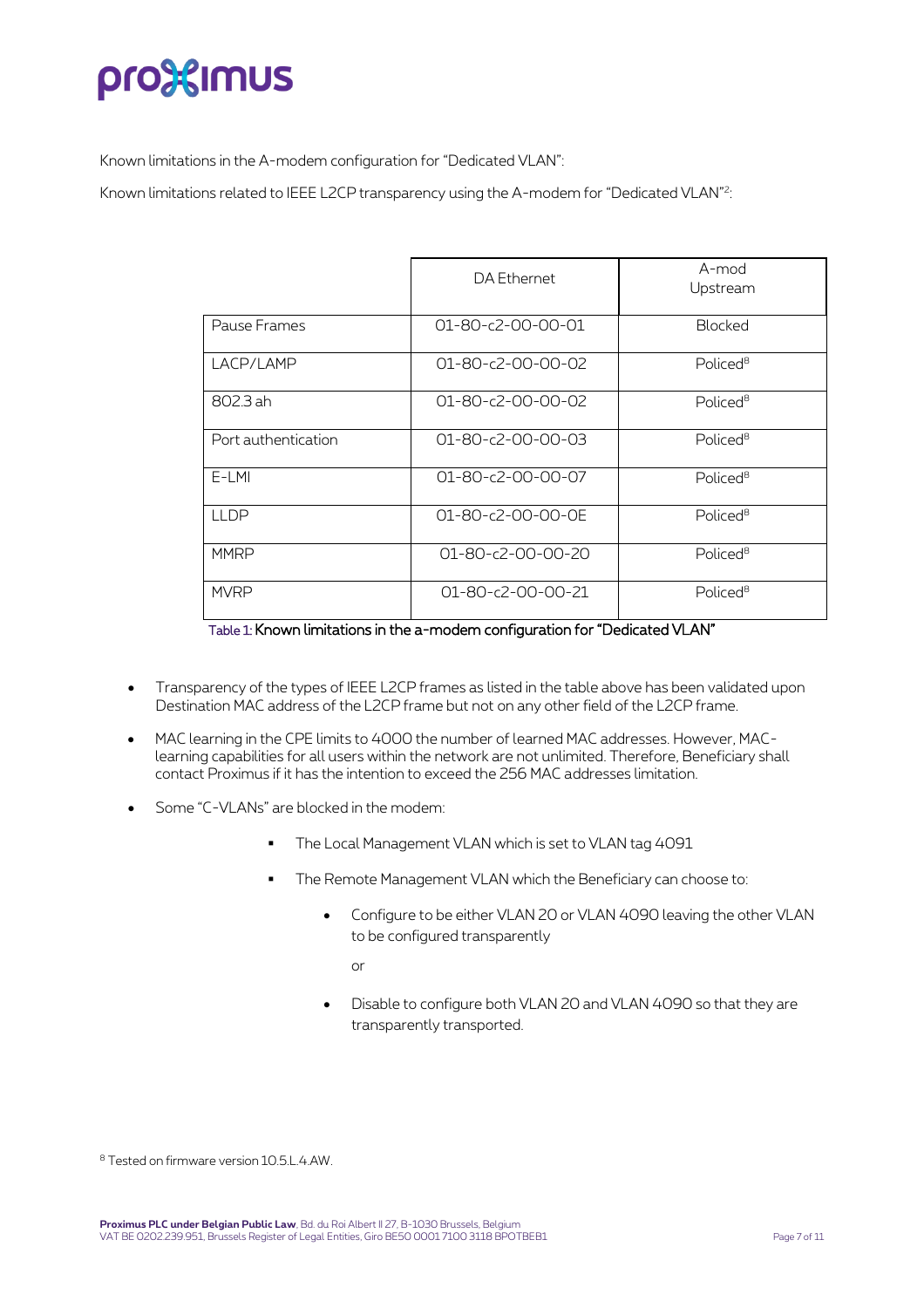Known limitations in the A-modem configuration for "Dedicated VLAN":

Known limitations related to IEEE L2CP transparency using the A-modem for "Dedicated VLAN"<sup>2</sup>:

|                     | DA Ethernet                   | A-mod<br>Upstream    |
|---------------------|-------------------------------|----------------------|
| Pause Frames        | $01 - 80 - c2 - 00 - 00 - 01$ | <b>Blocked</b>       |
| LACP/LAMP           | $01 - 80 - c2 - 00 - 00 - 02$ | Policed <sup>8</sup> |
| 802.3 ah            | 01-80-c2-00-00-02             | Policed <sup>8</sup> |
| Port authentication | 01-80-c2-00-00-03             | Policed <sup>8</sup> |
| $E-LMI$             | 01-80-c2-00-00-07             | Policed <sup>8</sup> |
| <b>LLDP</b>         | 01-80-c2-00-00-0E             | Policed <sup>8</sup> |
| <b>MMRP</b>         | $01 - 80 - c2 - 00 - 00 - 20$ | Policed <sup>8</sup> |
| <b>MVRP</b>         | 01-80-c2-00-00-21             | Policed <sup>8</sup> |

Table 1: Known limitations in the a-modem configuration for "Dedicated VLAN"

- Transparency of the types of IEEE L2CP frames as listed in the table above has been validated upon Destination MAC address of the L2CP frame but not on any other field of the L2CP frame.
- MAC learning in the CPE limits to 4000 the number of learned MAC addresses. However, MAClearning capabilities for all users within the network are not unlimited. Therefore, Beneficiary shall contact Proximus if it has the intention to exceed the 256 MAC addresses limitation.
- Some "C-VLANs" are blocked in the modem:
	- **•** The Local Management VLAN which is set to VLAN tag 4091
	- The Remote Management VLAN which the Beneficiary can choose to:
		- Configure to be either VLAN 20 or VLAN 4090 leaving the other VLAN to be configured transparently

 $\alpha$ r

• Disable to configure both VLAN 20 and VLAN 4090 so that they are transparently transported.

<sup>8</sup> Tested on firmware version 10.5.L.4.AW.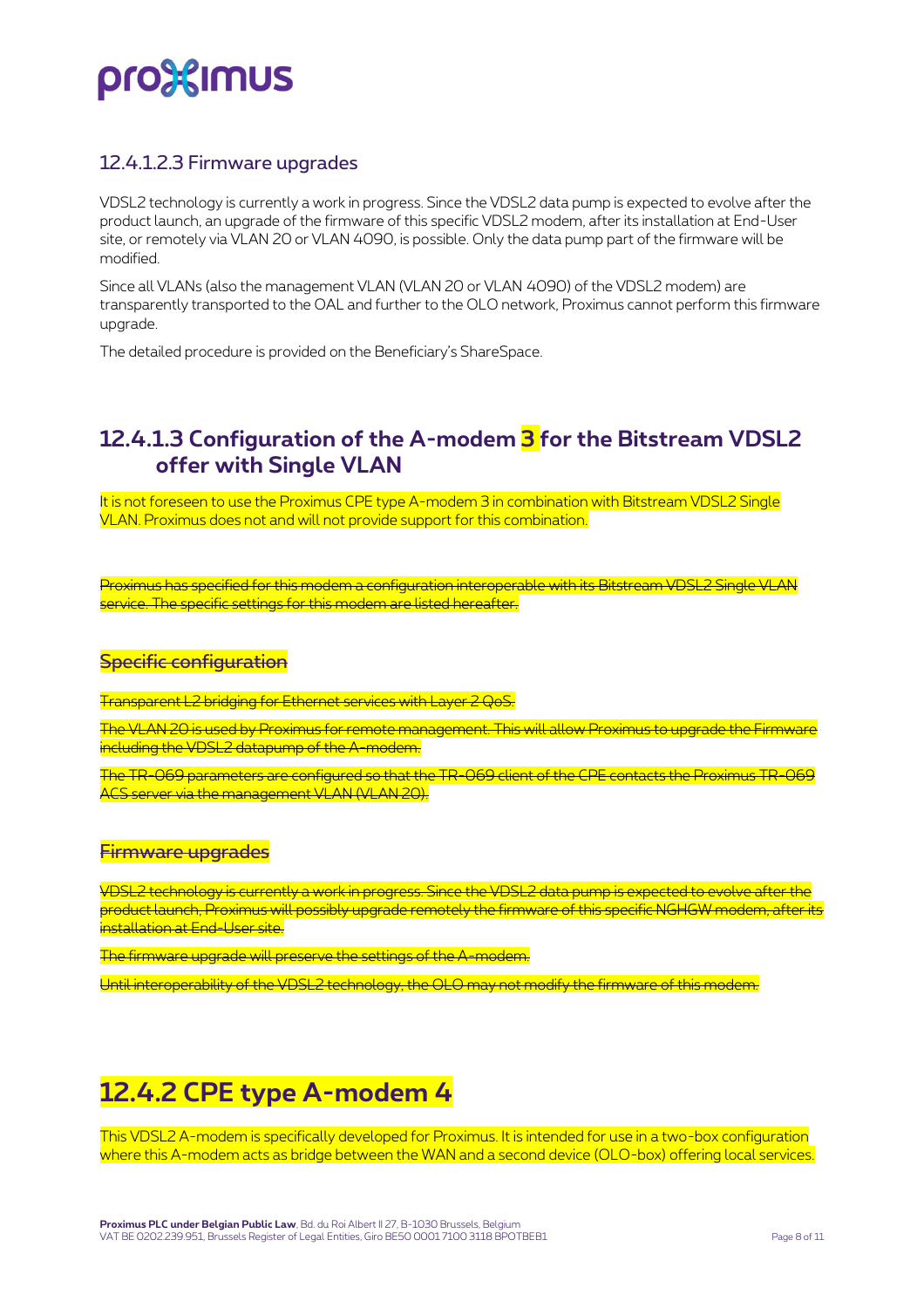### 12.4.1.2.3 Firmware upgrades

VDSL2 technology is currently a work in progress. Since the VDSL2 data pump is expected to evolve after the product launch, an upgrade of the firmware of this specific VDSL2 modem, after its installation at End-User site, or remotely via VLAN 20 or VLAN 4090, is possible. Only the data pump part of the firmware will be modified.

Since all VLANs (also the management VLAN (VLAN 20 or VLAN 4090) of the VDSL2 modem) are transparently transported to the OAL and further to the OLO network, Proximus cannot perform this firmware upgrade.

The detailed procedure is provided on the Beneficiary's ShareSpace.

### **12.4.1.3 Configuration of the A-modem 3 for the Bitstream VDSL2 offer with Single VLAN**

It is not foreseen to use the Proximus CPE type A-modem 3 in combination with Bitstream VDSL2 Single VLAN. Proximus does not and will not provide support for this combination.

Proximus has specified for this modem a configuration interoperable with its Bitstream VDSL2 Single VL service. The specific settings for this modem are listed hereafter.

### **Specific configuration**

Transparent L2 bridging for Ethernet services with Layer 2 C

The VLAN 20 is used by Proximus for remote management. This will allow Proximus to upgrade the Firmware including the VDSL2 datapump of the A-modem.

The TR-069 parameters are configured so that the TR-069 client of the CPE contacts the Proxim ACS server via the management VLAN (VLAN 20).

#### Firmware upgrades

VDSL2 technology is currently a work in progress. Since the VDSL2 data pump is expected to evolve after the product launch. Proximus will possibly upgrade remotely the firmware of this specific NGHGW modem, after its .<br>Installation at End-User site.

The firmware upgrade will preserve the settings of the A-modem.

Until interoperability of the VDSL2 technology, the OLO may not modify the firmware of this modem.

### **12.4.2 CPE type A-modem 4**

This VDSL2 A-modem is specifically developed for Proximus. It is intended for use in a two-box configuration where this A-modem acts as bridge between the WAN and a second device (OLO-box) offering local services.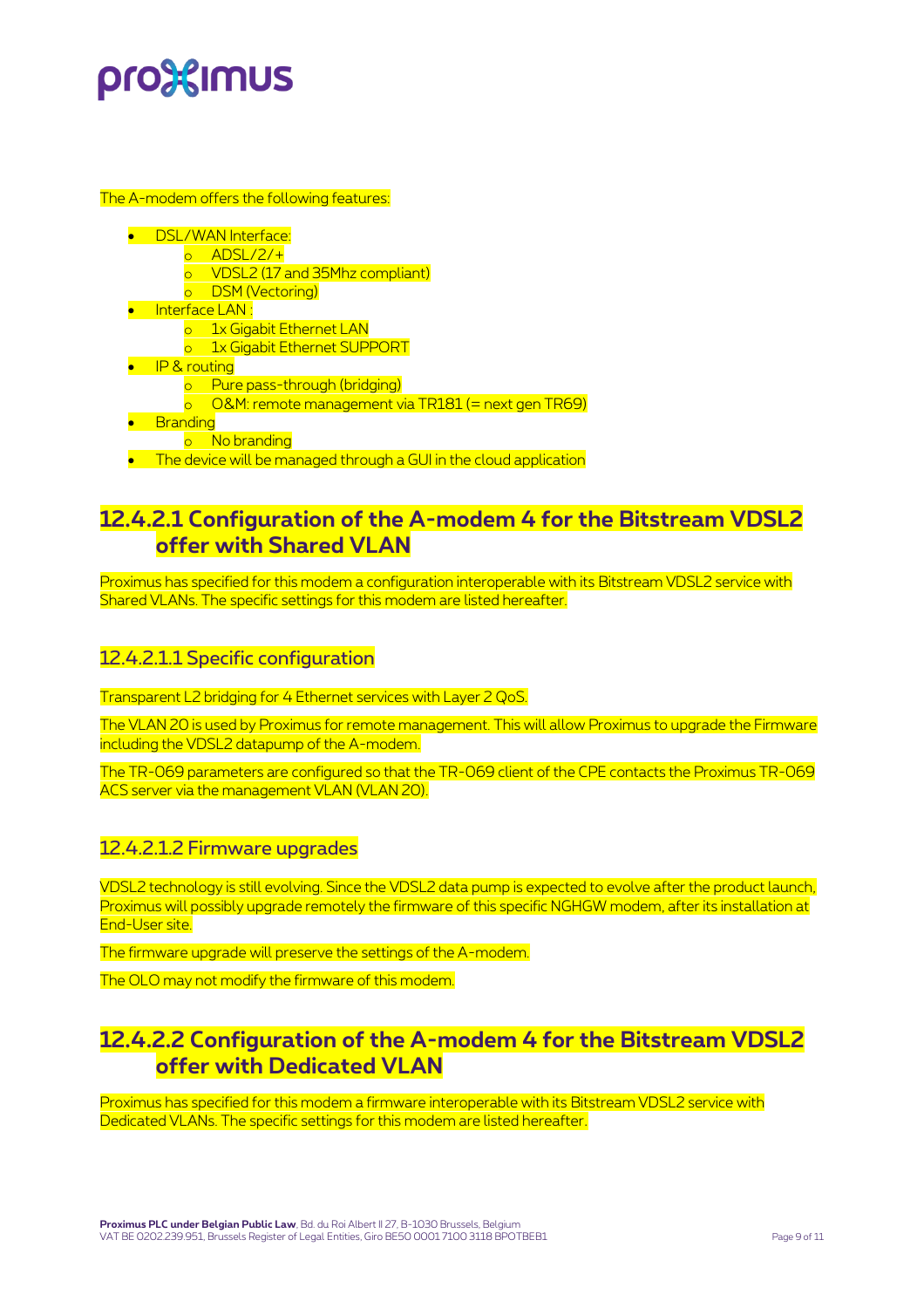#### The A-modem offers the following features:

- **DSL/WAN** Interface:
	- $o$  ADSL/2/ $+$ 
		- o VDSL2 (17 and 35Mhz compliant)
	- o DSM (Vectoring)
- Interface LAN :
	- o 1x Gigabit Ethernet LAN
	- o 1x Gigabit Ethernet SUPPORT
- **•** IP & routing
	- o Pure pass-through (bridging)
	- $\circ$  O&M: remote management via TR181 (= next gen TR69)
- Branding
	- o No branding
- **The device will be managed through a GUI in the cloud application**

### **12.4.2.1 Configuration of the A-modem 4 for the Bitstream VDSL2 offer with Shared VLAN**

Proximus has specified for this modem a configuration interoperable with its Bitstream VDSL2 service with Shared VLANs. The specific settings for this modem are listed hereafter.

### 12.4.2.1.1 Specific configuration

Transparent L2 bridging for 4 Ethernet services with Layer 2 QoS.

The VLAN 20 is used by Proximus for remote management. This will allow Proximus to upgrade the Firmware including the VDSL2 datapump of the A-modem.

The TR-069 parameters are configured so that the TR-069 client of the CPE contacts the Proximus TR-069 ACS server via the management VLAN (VLAN 20).

### 12.4.2.1.2 Firmware upgrades

VDSL2 technology is still evolving. Since the VDSL2 data pump is expected to evolve after the product launch, Proximus will possibly upgrade remotely the firmware of this specific NGHGW modem, after its installation at End-User site.

The firmware upgrade will preserve the settings of the A-modem.

The OLO may not modify the firmware of this modem.

### **12.4.2.2 Configuration of the A-modem 4 for the Bitstream VDSL2 offer with Dedicated VLAN**

Proximus has specified for this modem a firmware interoperable with its Bitstream VDSL2 service with Dedicated VLANs. The specific settings for this modem are listed hereafter.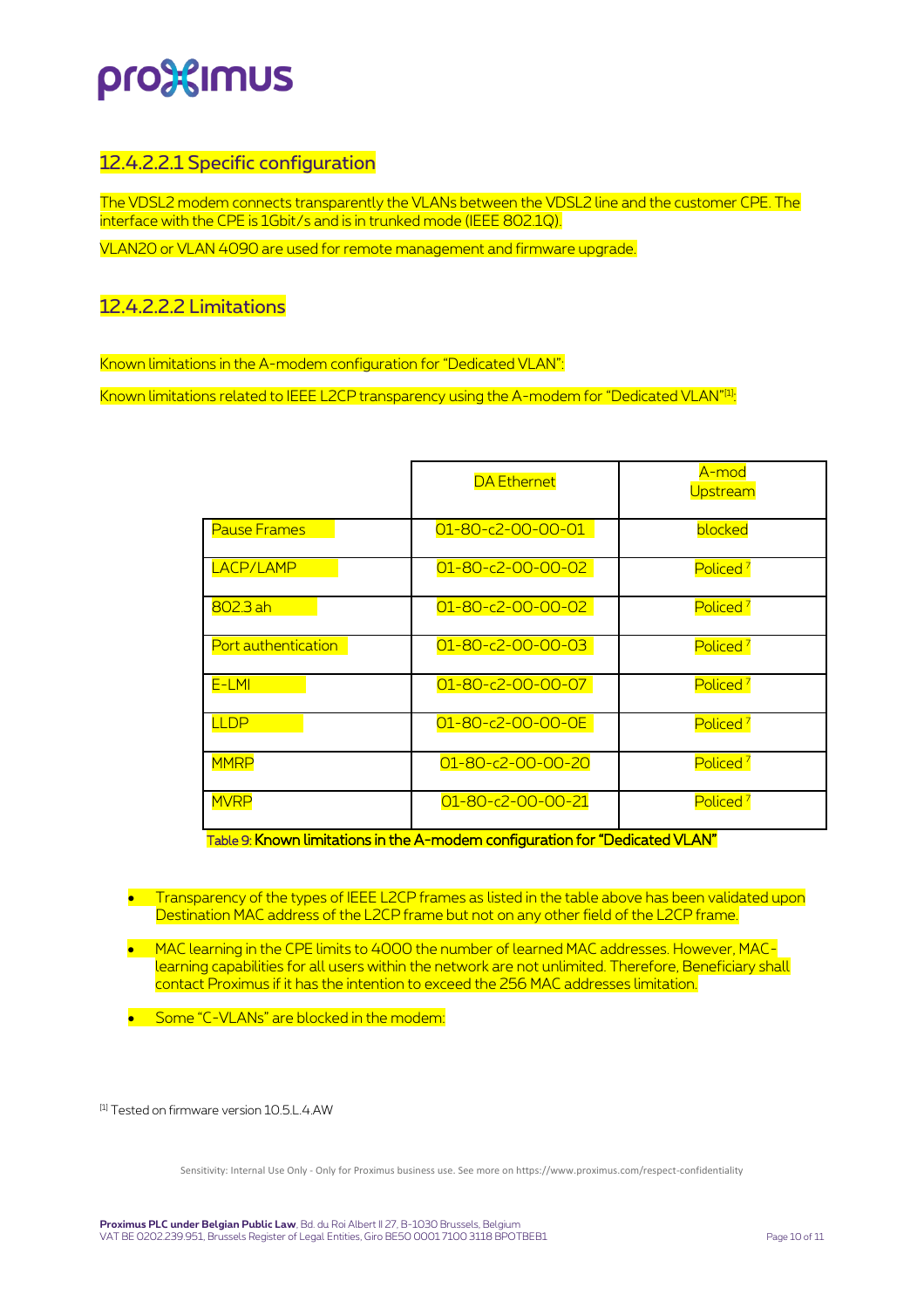### 12.4.2.2.1 Specific configuration

The VDSL2 modem connects transparently the VLANs between the VDSL2 line and the customer CPE. The interface with the CPE is 1Gbit/s and is in trunked mode (IEEE 802.1Q).

VLAN20 or VLAN 4090 are used for remote management and firmware upgrade.

#### 12.4.2.2.2 Limitations

Known limitations in the A-modem configuration for "Dedicated VLAN":

Known limitations related to IEEE L2CP transparency using the A-modem for "Dedicated VLAN"<sup>[1]</sup>:

|                     | <b>DA Ethernet</b>            | A-mod<br>Upstream    |
|---------------------|-------------------------------|----------------------|
| <b>Pause Frames</b> | $01 - 80 - c2 - 00 - 00 - 01$ | blocked              |
| LACP/LAMP           | $01 - 80 - c2 - 00 - 00 - 02$ | Policed <sup>7</sup> |
| 802.3 ah            | $01 - 80 - c2 - 00 - 00 - 02$ | Policed <sup>7</sup> |
| Port authentication | $01 - 80 - c2 - 00 - 00 - 03$ | Policed <sup>7</sup> |
| E-LMI               | $01 - 80 - c2 - 00 - 00 - 07$ | Policed <sup>7</sup> |
| <b>LLDP</b>         | 01-80-c2-00-00-0E             | Policed <sup>7</sup> |
| <b>MMRP</b>         | $01 - 80 - c2 - 00 - 00 - 20$ | Policed <sup>7</sup> |
| <b>MVRP</b>         | $01 - 80 - c2 - 00 - 00 - 21$ | Policed <sup>7</sup> |

Table 9: Known limitations in the A-modem configuration for "Dedicated VLAN"

- Transparency of the types of IEEE L2CP frames as listed in the table above has been validated upon Destination MAC address of the L2CP frame but not on any other field of the L2CP frame.
- MAC learning in the CPE limits to 4000 the number of learned MAC addresses. However, MAClearning capabilities for all users within the network are not unlimited. Therefore, Beneficiary shall contact Proximus if it has the intention to exceed the 256 MAC addresses limitation.
- Some "C-VLANs" are blocked in the modem:

[1] Tested on firmware version 10.5.L.4.AW

Sensitivity: Internal Use Only - Only for Proximus business use. See more on https://www.proximus.com/respect-confidentiality